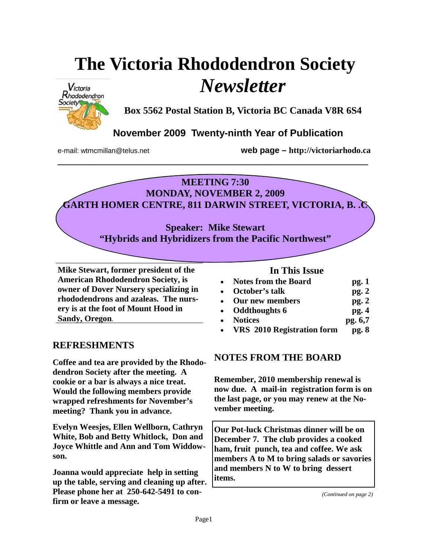# **The Victoria Rhododendron Society**  *Newsletter*



**Box 5562 Postal Station B, Victoria BC Canada V8R 6S4** 

# **November 2009 Twenty-ninth Year of Publication**

e-mail: wtmcmillan@telus.net **web page – http://victoriarhodo.ca**

#### **MEETING 7:30 MONDAY, NOVEMBER 2, 2009**

**\_\_\_\_\_\_\_\_\_\_\_\_\_\_\_\_\_\_\_\_\_\_\_\_\_\_\_\_\_\_\_\_\_\_\_\_\_\_\_\_\_\_\_\_\_\_\_\_\_\_\_\_\_\_\_\_\_\_\_\_\_\_\_** 

**GARTH HOMER CENTRE, 811 DARWIN STREET, VICTORIA, B. .C** 

**Speaker: Mike Stewart "Hybrids and Hybridizers from the Pacific Northwest"** 

**Mike Stewart, former president of the American Rhododendron Society, is owner of Dover Nursery specializing in rhododendrons and azaleas. The nursery is at the foot of Mount Hood in Sandy, Oregon**.

### **REFRESHMENTS**

**Coffee and tea are provided by the Rhododendron Society after the meeting. A cookie or a bar is always a nice treat. Would the following members provide wrapped refreshments for November's meeting? Thank you in advance.** 

**Evelyn Weesjes, Ellen Wellborn, Cathryn White, Bob and Betty Whitlock, Don and Joyce Whittle and Ann and Tom Widdowson.** 

**Joanna would appreciate help in setting up the table, serving and cleaning up after. Please phone her at 250-642-5491 to confirm or leave a message.**

#### **In This Issue**

| <b>Notes from the Board</b> | pg. 1 |
|-----------------------------|-------|
|                             |       |

- **October's talk pg. 2**
- **Our new members pg. 2**
- **Oddthoughts 6 pg. 4**
- **Notices** pg. 6,7
- **VRS 2010 Registration form pg. 8**

# **NOTES FROM THE BOARD**

**Remember, 2010 membership renewal is now due. A mail-in registration form is on the last page, or you may renew at the November meeting.** 

**Our Pot-luck Christmas dinner will be on December 7. The club provides a cooked ham, fruit punch, tea and coffee. We ask members A to M to bring salads or savories and members N to W to bring dessert items.** 

*(Continued on page 2)*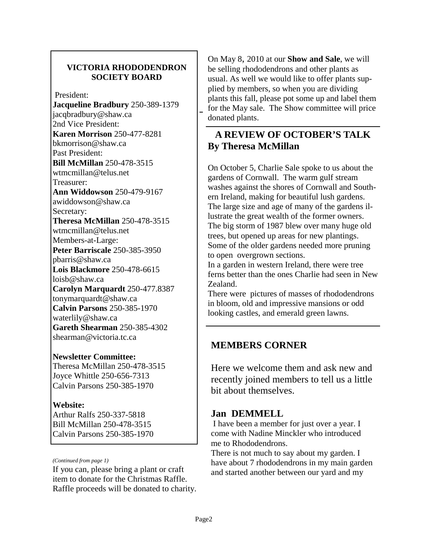#### **VICTORIA RHODODENDRON SOCIETY BOARD**

President:

**Jacqueline Bradbury** 250-389-1379 jacqbradbury@shaw.ca 2nd Vice President: **Karen Morrison** 250-477-8281 bkmorrison@shaw.ca Past President: **Bill McMillan** 250-478-3515 wtmcmillan@telus.net Treasurer: **Ann Widdowson** 250-479-9167 awiddowson@shaw.ca Secretary: **Theresa McMillan** 250-478-3515 wtmcmillan@telus.net Members-at-Large: **Peter Barriscale** 250-385-3950 pbarris@shaw.ca **Lois Blackmore** 250-478-6615 loisb@shaw.ca **Carolyn Marquardt** 250-477.8387 tonymarquardt@shaw.ca **Calvin Parsons** 250-385-1970 waterlily@shaw.ca **Gareth Shearman** 250-385-4302 shearman@victoria.tc.ca

#### **Newsletter Committee:**

Theresa McMillan 250-478-3515 Joyce Whittle 250-656-7313 Calvin Parsons 250-385-1970

#### **Website:**

Arthur Ralfs 250-337-5818 Bill McMillan 250-478-3515 Calvin Parsons 250-385-1970

#### *(Continued from page 1)*

If you can, please bring a plant or craft item to donate for the Christmas Raffle. Raffle proceeds will be donated to charity.

On May 8, 2010 at our **Show and Sale**, we will be selling rhododendrons and other plants as usual. As well we would like to offer plants supplied by members, so when you are dividing plants this fall, please pot some up and label them for the May sale. The Show committee will price donated plants.

## **A REVIEW OF OCTOBER'S TALK By Theresa McMillan**

On October 5, Charlie Sale spoke to us about the gardens of Cornwall. The warm gulf stream washes against the shores of Cornwall and Southern Ireland, making for beautiful lush gardens. The large size and age of many of the gardens illustrate the great wealth of the former owners. The big storm of 1987 blew over many huge old trees, but opened up areas for new plantings. Some of the older gardens needed more pruning to open overgrown sections.

In a garden in western Ireland, there were tree ferns better than the ones Charlie had seen in New Zealand.

There were pictures of masses of rhododendrons in bloom, old and impressive mansions or odd looking castles, and emerald green lawns.

# **MEMBERS CORNER**

Here we welcome them and ask new and recently joined members to tell us a little bit about themselves.

### **Jan DEMMELL**

 I have been a member for just over a year. I come with Nadine Minckler who introduced me to Rhododendrons.

There is not much to say about my garden. I have about 7 rhododendrons in my main garden and started another between our yard and my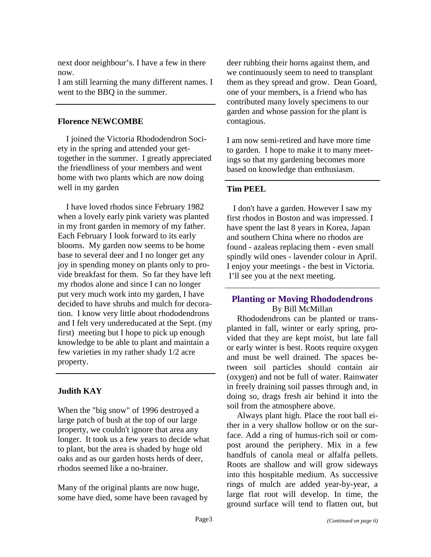next door neighbour's. I have a few in there now.

I am still learning the many different names. I went to the BBQ in the summer.

#### **Florence NEWCOMBE**

 I joined the Victoria Rhododendron Society in the spring and attended your gettogether in the summer. I greatly appreciated the friendliness of your members and went home with two plants which are now doing well in my garden

 I have loved rhodos since February 1982 when a lovely early pink variety was planted in my front garden in memory of my father. Each February I look forward to its early blooms. My garden now seems to be home base to several deer and I no longer get any joy in spending money on plants only to provide breakfast for them. So far they have left my rhodos alone and since I can no longer put very much work into my garden, I have decided to have shrubs and mulch for decoration. I know very little about rhododendrons and I felt very undereducated at the Sept. (my first) meeting but I hope to pick up enough knowledge to be able to plant and maintain a few varieties in my rather shady 1/2 acre property.

#### **Judith KAY**

When the "big snow" of 1996 destroyed a large patch of bush at the top of our large property, we couldn't ignore that area any longer. It took us a few years to decide what to plant, but the area is shaded by huge old oaks and as our garden hosts herds of deer, rhodos seemed like a no-brainer.

Many of the original plants are now huge, some have died, some have been ravaged by deer rubbing their horns against them, and we continuously seem to need to transplant them as they spread and grow. Dean Goard, one of your members, is a friend who has contributed many lovely specimens to our garden and whose passion for the plant is contagious.

I am now semi-retired and have more time to garden. I hope to make it to many meetings so that my gardening becomes more based on knowledge than enthusiasm.

#### **Tim PEEL**

 I don't have a garden. However I saw my first rhodos in Boston and was impressed. I have spent the last 8 years in Korea, Japan and southern China where no rhodos are found - azaleas replacing them - even small spindly wild ones - lavender colour in April. I enjoy your meetings - the best in Victoria. I'll see you at the next meeting.

#### **Planting or Moving Rhododendrons**  By Bill McMillan

Rhododendrons can be planted or transplanted in fall, winter or early spring, provided that they are kept moist, but late fall or early winter is best. Roots require oxygen and must be well drained. The spaces between soil particles should contain air (oxygen) and not be full of water. Rainwater in freely draining soil passes through and, in doing so, drags fresh air behind it into the soil from the atmosphere above.

Always plant high. Place the root ball either in a very shallow hollow or on the surface. Add a ring of humus-rich soil or compost around the periphery. Mix in a few handfuls of canola meal or alfalfa pellets. Roots are shallow and will grow sideways into this hospitable medium. As successive rings of mulch are added year-by-year, a large flat root will develop. In time, the ground surface will tend to flatten out, but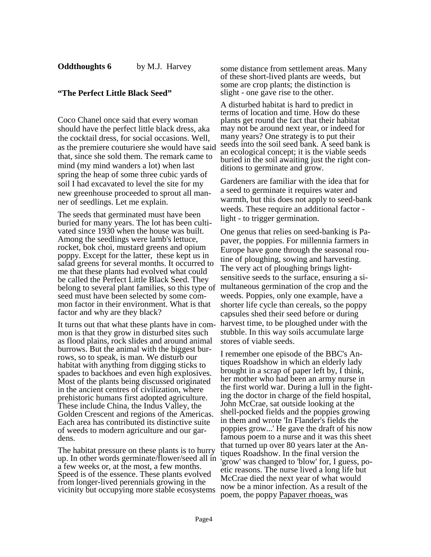#### **"The Perfect Little Black Seed"**

Coco Chanel once said that every woman should have the perfect little black dress, aka the cocktail dress, for social occasions. Well, as the premiere couturiere she would have said that, since she sold them. The remark came to mind (my mind wanders a lot) when last spring the heap of some three cubic yards of soil I had excavated to level the site for my new greenhouse proceeded to sprout all manner of seedlings. Let me explain.

The seeds that germinated must have been buried for many years. The lot has been cultivated since 1930 when the house was built. Among the seedlings were lamb's lettuce, rocket, bok choi, mustard greens and opium poppy. Except for the latter, these kept us in salad greens for several months. It occurred to me that these plants had evolved what could be called the Perfect Little Black Seed. They belong to several plant families, so this type of seed must have been selected by some common factor in their environment. What is that factor and why are they black?

It turns out that what these plants have in common is that they grow in disturbed sites such as flood plains, rock slides and around animal burrows. But the animal with the biggest burrows, so to speak, is man. We disturb our habitat with anything from digging sticks to spades to backhoes and even high explosives. Most of the plants being discussed originated in the ancient centres of civilization, where prehistoric humans first adopted agriculture. These include China, the Indus Valley, the Golden Crescent and regions of the Americas. Each area has contributed its distinctive suite of weeds to modern agriculture and our gardens.

The habitat pressure on these plants is to hurry up. In other words germinate/flower/seed all in a few weeks or, at the most, a few months. Speed is of the essence. These plants evolved from longer-lived perennials growing in the vicinity but occupying more stable ecosystems

some distance from settlement areas. Many of these short-lived plants are weeds, but some are crop plants; the distinction is slight - one gave rise to the other.

A disturbed habitat is hard to predict in terms of location and time. How do these plants get round the fact that their habitat may not be around next year, or indeed for many years? One strategy is to put their seeds into the soil seed bank. A seed bank is an ecological concept; it is the viable seeds buried in the soil awaiting just the right conditions to germinate and grow.

Gardeners are familiar with the idea that for a seed to germinate it requires water and warmth, but this does not apply to seed-bank weeds. These require an additional factor light - to trigger germination.

One genus that relies on seed-banking is Papaver, the poppies. For millennia farmers in Europe have gone through the seasonal routine of ploughing, sowing and harvesting. The very act of ploughing brings lightsensitive seeds to the surface, ensuring a simultaneous germination of the crop and the weeds. Poppies, only one example, have a shorter life cycle than cereals, so the poppy capsules shed their seed before or during harvest time, to be ploughed under with the stubble. In this way soils accumulate large stores of viable seeds.

I remember one episode of the BBC's Antiques Roadshow in which an elderly lady brought in a scrap of paper left by, I think, her mother who had been an army nurse in the first world war. During a lull in the fighting the doctor in charge of the field hospital, John McCrae, sat outside looking at the shell-pocked fields and the poppies growing in them and wrote 'In Flander's fields the poppies grow...' He gave the draft of his now famous poem to a nurse and it was this sheet that turned up over 80 years later at the Antiques Roadshow. In the final version the 'grow' was changed to 'blow' for, I guess, poetic reasons. The nurse lived a long life but McCrae died the next year of what would now be a minor infection. As a result of the poem, the poppy Papaver rhoeas, was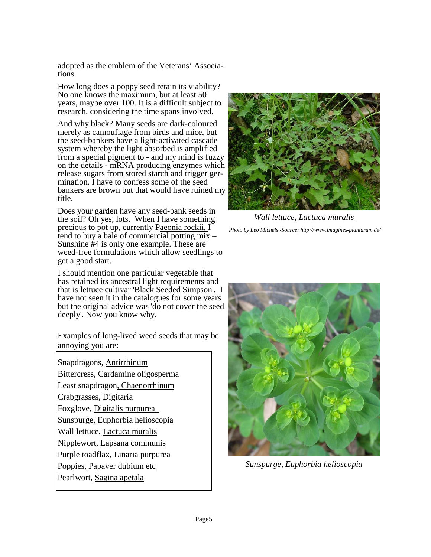adopted as the emblem of the Veterans' Associations.

How long does a poppy seed retain its viability? No one knows the maximum, but at least 50 years, maybe over 100. It is a difficult subject to research, considering the time spans involved.

And why black? Many seeds are dark-coloured merely as camouflage from birds and mice, but the seed-bankers have a light-activated cascade system whereby the light absorbed is amplified from a special pigment to - and my mind is fuzzy on the details - mRNA producing enzymes which release sugars from stored starch and trigger germination. I have to confess some of the seed bankers are brown but that would have ruined my title.

Does your garden have any seed-bank seeds in the soil? Oh yes, lots. When I have something precious to pot up, currently Paeonia rockii, I tend to buy a bale of commercial potting mix – Sunshine #4 is only one example. These are weed-free formulations which allow seedlings to get a good start.

I should mention one particular vegetable that has retained its ancestral light requirements and that is lettuce cultivar 'Black Seeded Simpson'. I have not seen it in the catalogues for some years but the original advice was 'do not cover the seed deeply'. Now you know why.

Examples of long-lived weed seeds that may be annoying you are:

Snapdragons, Antirrhinum Bittercress, Cardamine oligosperma Least snapdragon, Chaenorrhinum Crabgrasses, Digitaria Foxglove, Digitalis purpurea Sunspurge, Euphorbia helioscopia Wall lettuce, Lactuca muralis Nipplewort, Lapsana communis Purple toadflax, Linaria purpurea Poppies, Papaver dubium etc Pearlwort, Sagina apetala



*Wall lettuce, Lactuca muralis Photo by Leo Michels -Source: http://www.imagines-plantarum.de/* 



*Sunspurge, Euphorbia helioscopia*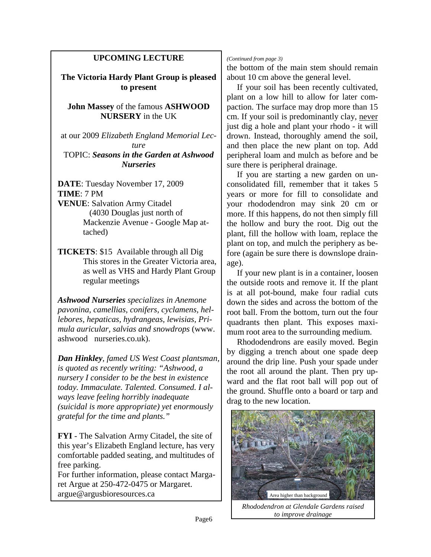#### **UPCOMING LECTURE**

**The Victoria Hardy Plant Group is pleased to present** 

**John Massey** of the famous **ASHWOOD NURSERY** in the UK

at our 2009 *Elizabeth England Memorial Lecture*

TOPIC: *Seasons in the Garden at Ashwood Nurseries*

**DATE**: Tuesday November 17, 2009 **TIME**: 7 PM

- **VENUE**: Salvation Army Citadel (4030 Douglas just north of Mackenzie Avenue - Google Map attached)
- **TICKETS**: \$15 Available through all Dig This stores in the Greater Victoria area, as well as VHS and Hardy Plant Group regular meetings

*Ashwood Nurseries specializes in Anemone pavonina, camellias, conifers, cyclamens, hellebores, hepaticas, hydrangeas, lewisias, Primula auricular, salvias and snowdrops* (www. ashwood nurseries.co.uk).

*Dan Hinkley, famed US West Coast plantsman, is quoted as recently writing: "Ashwood, a nursery I consider to be the best in existence today. Immaculate. Talented. Consumed. I always leave feeling horribly inadequate (suicidal is more appropriate) yet enormously grateful for the time and plants."*

**FYI** - The Salvation Army Citadel, the site of this year's Elizabeth England lecture, has very comfortable padded seating, and multitudes of free parking.

For further information, please contact Margaret Argue at 250-472-0475 or Margaret. argue@argusbioresources.ca Area higher than background

#### *(Continued from page 3)*

the bottom of the main stem should remain about 10 cm above the general level.

 If your soil has been recently cultivated, plant on a low hill to allow for later compaction. The surface may drop more than 15 cm. If your soil is predominantly clay, never just dig a hole and plant your rhodo - it will drown. Instead, thoroughly amend the soil, and then place the new plant on top. Add peripheral loam and mulch as before and be sure there is peripheral drainage.

 If you are starting a new garden on unconsolidated fill, remember that it takes 5 years or more for fill to consolidate and your rhododendron may sink 20 cm or more. If this happens, do not then simply fill the hollow and bury the root. Dig out the plant, fill the hollow with loam, replace the plant on top, and mulch the periphery as before (again be sure there is downslope drainage).

 If your new plant is in a container, loosen the outside roots and remove it. If the plant is at all pot-bound, make four radial cuts down the sides and across the bottom of the root ball. From the bottom, turn out the four quadrants then plant. This exposes maximum root area to the surrounding medium.

 Rhododendrons are easily moved. Begin by digging a trench about one spade deep around the drip line. Push your spade under the root all around the plant. Then pry upward and the flat root ball will pop out of the ground. Shuffle onto a board or tarp and drag to the new location.



*Rhododendron at Glendale Gardens raised to improve drainage*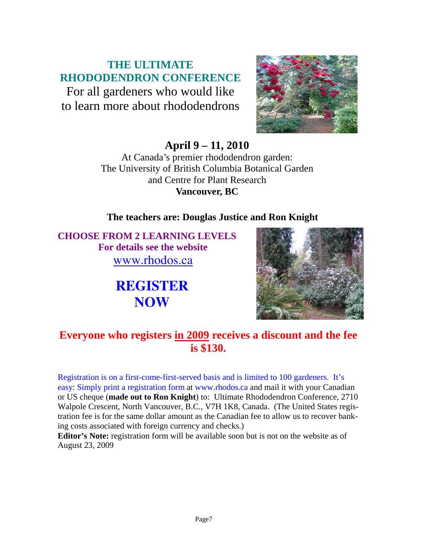# **THE ULTIMATE RHODODENDRON CONFERENCE**

For all gardeners who would like to learn more about rhododendrons



**April 9 – 11, 2010** 

At Canada's premier rhododendron garden: The University of British Columbia Botanical Garden and Centre for Plant Research **Vancouver, BC** 

# **The teachers are: Douglas Justice and Ron Knight**

**CHOOSE FROM 2 LEARNING LEVELS For details see the website**  www.rhodos.ca

> **REGISTER NOW**



# **Everyone who registers in 2009 receives a discount and the fee is \$130.**

Registration is on a first-come-first-served basis and is limited to 100 gardeners. It's easy: Simply print a registration form at www.rhodos.ca and mail it with your Canadian or US cheque (**made out to Ron Knight**) to: Ultimate Rhododendron Conference, 2710 Walpole Crescent, North Vancouver, B.C., V7H 1K8, Canada. (The United States registration fee is for the same dollar amount as the Canadian fee to allow us to recover banking costs associated with foreign currency and checks.)

**Editor's Note:** registration form will be available soon but is not on the website as of August 23, 2009